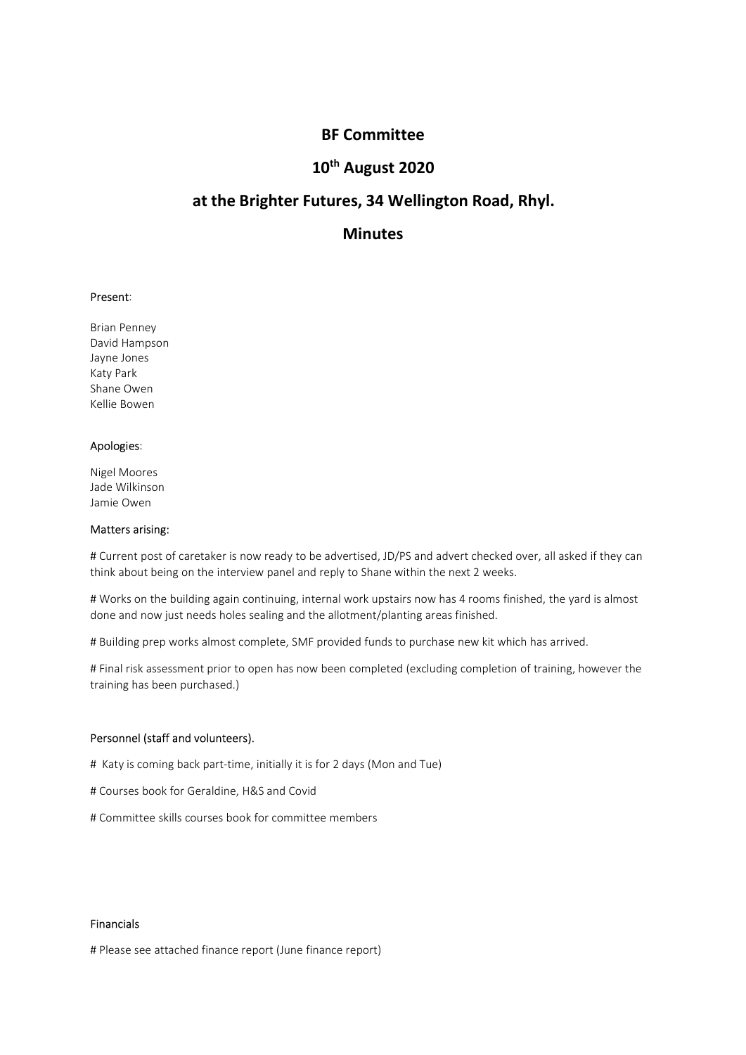# BF Committee<br>0<sup>th</sup> August 2020<br>tures, 34 Wellington Road, Rhyl. BF Committee<br>10<sup>th</sup> August 2020<br>utures, 34 Wellington Road, Rhyl.<br>Minutes BF Committee<br>10<sup>th</sup> August 2020<br>at the Brighter Futures, 34 Wellington Road, Rhyl.<br>Minutes

# **Minutes**

**BF Committee<br>
10<sup>th</sup> August 2020<br>
at the Brighter Futures, 34 Wellington Road, R<br>
Minutes<br>
Present:<br>
Present:<br>
Brian Penney<br>
David Hampson<br>
Alay Lones<br>
Katy Park<br>
Share Owen BF Committee<br>
10<sup>th</sup> August 2020**<br> **at the Brighter Futures, 34 Wellington Road, RI<br>
Minutes<br>
Present:<br>
Present:<br>
Brian Penney<br>
David Hampson<br>
Jayne Jones<br>
Katy Park<br>
Katy Park<br>
Katy Park<br>
Kellie Bowen BF Committee<br>
10<sup>th</sup> August 2020**<br> **at the Brighter Futures, 34 Wellington Road, RI**<br> **Minutes**<br>
Present:<br>
Prisent:<br>
Prisent:<br>
Prisent<br>
Present:<br>
Shane Owen<br>
Alayne Jones<br>
Katy Park<br>
Shane Owen<br>
Apologies: **BF Committee<br>
10<sup>th</sup> August 2020<br>
at the Brighter Futures, 34 Wellington Road, F<br>
Minutes<br>
Present:<br>
Present:<br>
Brian Penney<br>
David Hampson<br>
Araly Park<br>
Share Owen<br>
Katy Park<br>
Share Owen<br>
Apologies:<br>
Apologies: BF Committee<br>
10<sup>th</sup> August 2020**<br> **at the Brighter Futures, 34 Wellington Road, RM<br>
Minutes<br>
Present:<br>
Present:<br>
Brian Penney<br>
David Hampson<br>
David Hampson<br>
Aayne Jones<br>
Katy Park<br>
Kellie Bowen<br>
Apologies:<br>
Apologies:<br>
A BF Committee<br>
10<sup>th</sup> August 2020**<br> **at the Brighter Futures, 34 Wellington Road, RI**<br> **Minutes**<br>
Present:<br>
Brian Penney<br>
Present:<br>
Brian Penney<br>
Apologies<br>
Katy Park<br>
Shane Owen<br>
Kellie Bowen<br>
Apologies:<br>
Apologies:<br>
Alge

10<sup>th</sup> August 2020<br>
at the Brighter Futures, 34 Wellington Road, R<br>
Minutes<br>
Present:<br>
Brian Penney<br>
David Hampson<br>
David Hampson<br>
Apologies:<br>
Katy Park<br>
Kalie Bowen<br>
Apologies:<br>
Apologies:<br>
Apologies:<br>
Apologies:<br>
Apologi at the Brighter Futures, 34 Wellington Road, R<br>
Minutes<br>
Present:<br>
Brian Penney<br>
David Hampson<br>
David Hampson<br>
Share Owen<br>
Katly Park<br>
Share Owen<br>
Apologies:<br>
Jade Wilkinson<br>
Jame Owen<br>
Matters arising:<br>  $\#$  Current post **at the Brighter Futures, 34 Wellington Road, RI**<br> **Minutes**<br> **Present:**<br>
Brian Penney<br>
David Hampson<br>
Dayne Jones<br>
Shane Owen<br>
Kellie Bowen<br>
Kellie Bowen<br>
Apologies:<br>
Nigel Moores<br>
Apologies:<br>
Nigel Moores<br>
Matters arisin **Minutes**<br>
Present:<br>
Brian Penney<br>
David Hampson<br>
Jayne Jones<br>
Katy Park<br>
Shane Owen<br>
Kellie Bowen<br>
Apologies:<br>
Minke Shane wikins<br>
Jamie Owen<br>
Matters arising:<br>
# Current post of caretaker is now ready to be advertised, J **Present:**<br>Brian Penney<br>David Hampson<br>Karly Park<br>Martes of caretaker is now ready to be advertised, JD/PS and advert checked over, all asked if they can<br>Damie Owen<br>Watters arising:<br>Werks on the building again continuing, i **Present:**<br>
Brian Penney<br>
Jayne Jones<br>
Jayne Jones<br>
Shane Owen<br>
Shane Owen<br>
Matters arising:<br>
Nigel Moores<br>
Matters arising:<br>
Nigel Moores<br>
Think about being on the interview panel and reply to Shane within the next 2 week **Present:**<br>
Brian Penney<br>
Jayne Jones<br>
Jayne Jones<br>
Katy Park<br>
Kather Deven<br>
Shane Owen<br>
Apologies:<br>
Shane Owen<br>
Matters arising:<br>
Werks on the building again continuing, internal work upstairs now has 4 rooms finished, th done and now just needs holes sealing and the allotment/planting areas finished. # Build Hampson<br>Bavid Hampson<br>David Hampson<br>Katy Park<br>Matters arising:<br>Matters arising:<br>The Works complete<br>Matters arising:<br>The University of caretaker is now ready to be advertised, JD/PS and advert checked over, all aske Hayne Jones<br>Arche Park<br>Katy Park<br>Matters arising:<br>Matters arising:<br># Current post of caretaker is now ready to be advertised, JD/PS and advert checked over, all asked if they can<br># Current post of caretaker is now ready to Katy Park<br>
Kalie Bowen<br>
Shane Owen<br>
Shane Weren<br>
Matters arising:<br>
Michiason<br>
Jamie Owen<br>
Matters arising:<br>
# Current post of caretaker is now ready to be advertised, JD/PS and advert checked over, all asked<br>
think about b Apologies:<br>
Nigel Moores<br>
Alade Wilkinson<br>
Hacters arising:<br>
# Current post of caretaker is now ready to be advertised, JD/PS and advert checked over, all asked if<br>
# Current post of caretaker is now ready to be advertised we we we we the Mores<br>Is also Wilkinson<br>and E Wilkinson<br>and E Wilkinson<br>**Matters arising:**<br>**Matters arising:**<br> $\mathbf{R}^{\text{H}}$  to carectake is now ready to be advertised, JD/PS and advert checked over, all asked if they can<br> -ng-monder<br>and Wilkinson<br>Jamie Owen<br>Matters arising:<br>Matters arising:<br>Here arising:<br>Here arising:<br>However a for Geretaker is now ready to be advertised, JD/PS and advert checked over, all asked if they can<br>Holmk about bein Jame Owen<br>Matters arising:<br>Matters arising:<br>Whencen to discussed to care allow the advertised, JD/PS and advert checked over, all asked if they can<br>think about being on the interview panel and reply to Shane within the nex

# Building prep works almost complete, SMF provided funds to purchase new kit which has arrived.<br> *H* Final risk assessment prior to open has now been completed (excluding completion of training, however the<br>
training has

## Financials